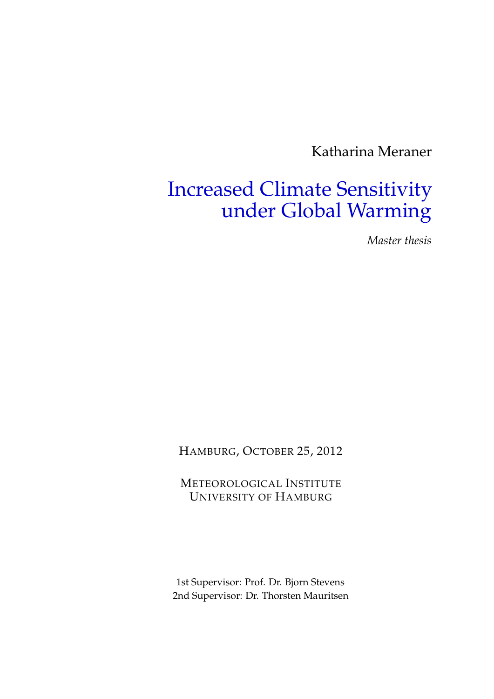Katharina Meraner

## Increased Climate Sensitivity under Global Warming

*Master thesis*

HAMBURG, OCTOBER 25, 2012

METEOROLOGICAL INSTITUTE UNIVERSITY OF HAMBURG

1st Supervisor: Prof. Dr. Bjorn Stevens 2nd Supervisor: Dr. Thorsten Mauritsen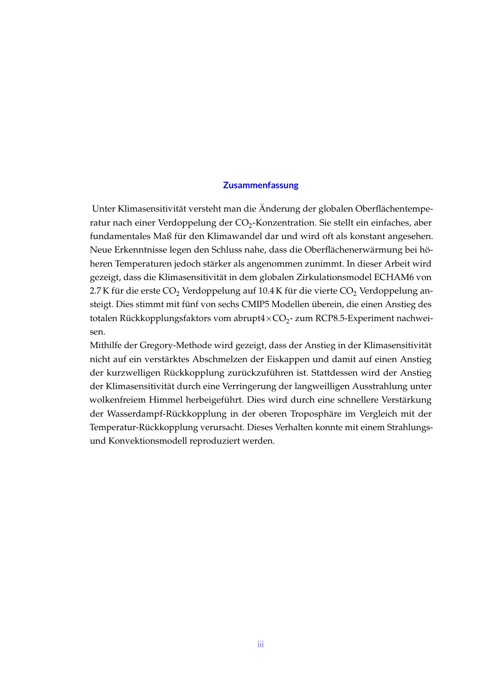## **Zusammenfassung**

Unter Klimasensitivität versteht man die Änderung der globalen Oberflächentemperatur nach einer Verdoppelung der CO<sub>2</sub>-Konzentration. Sie stellt ein einfaches, aber fundamentales Maß für den Klimawandel dar und wird oft als konstant angesehen. Neue Erkenntnisse legen den Schluss nahe, dass die Oberflächenerwärmung bei höheren Temperaturen jedoch stärker als angenommen zunimmt. In dieser Arbeit wird gezeigt, dass die Klimasensitivität in dem globalen Zirkulationsmodel ECHAM6 von 2.7 K für die erste CO<sub>2</sub> Verdoppelung auf 10.4 K für die vierte CO<sub>2</sub> Verdoppelung ansteigt. Dies stimmt mit fünf von sechs CMIP5 Modellen überein, die einen Anstieg des totalen Rückkopplungsfaktors vom abrupt $4\times CO_2$ - zum RCP8.5-Experiment nachweisen.

Mithilfe der Gregory-Methode wird gezeigt, dass der Anstieg in der Klimasensitivität nicht auf ein verstärktes Abschmelzen der Eiskappen und damit auf einen Anstieg der kurzwelligen Rückkopplung zurückzuführen ist. Stattdessen wird der Anstieg der Klimasensitivität durch eine Verringerung der langweilligen Ausstrahlung unter wolkenfreiem Himmel herbeigeführt. Dies wird durch eine schnellere Verstärkung der Wasserdampf-Rückkopplung in der oberen Troposphäre im Vergleich mit der Temperatur-Rückkopplung verursacht. Dieses Verhalten konnte mit einem Strahlungsund Konvektionsmodell reproduziert werden.